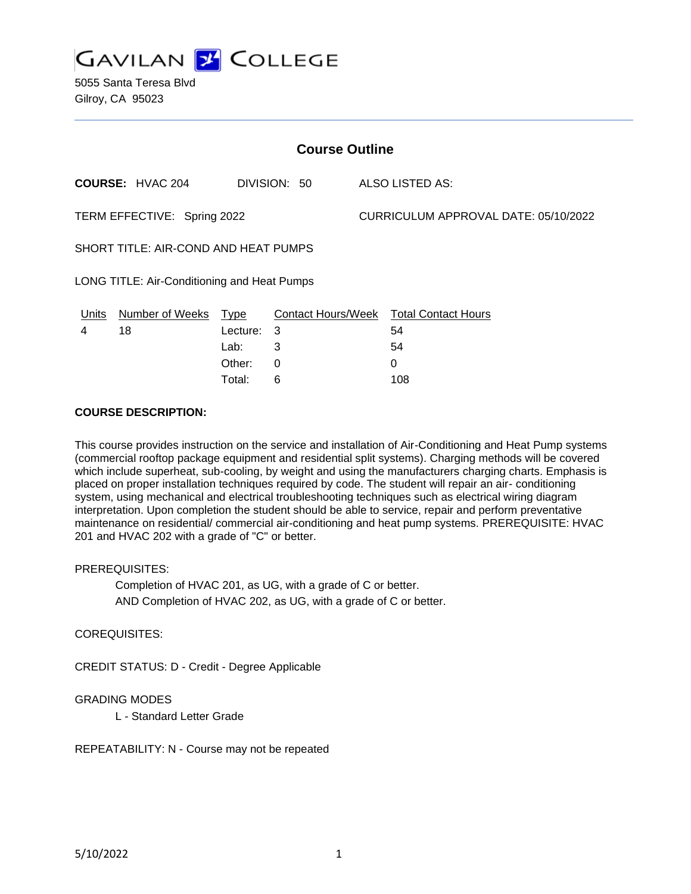

5055 Santa Teresa Blvd Gilroy, CA 95023

| <b>Course Outline</b>                       |                         |            |              |                                      |                                        |
|---------------------------------------------|-------------------------|------------|--------------|--------------------------------------|----------------------------------------|
|                                             | <b>COURSE: HVAC 204</b> |            | DIVISION: 50 |                                      | ALSO LISTED AS:                        |
| TERM EFFECTIVE: Spring 2022                 |                         |            |              | CURRICULUM APPROVAL DATE: 05/10/2022 |                                        |
| SHORT TITLE: AIR-COND AND HEAT PUMPS        |                         |            |              |                                      |                                        |
| LONG TITLE: Air-Conditioning and Heat Pumps |                         |            |              |                                      |                                        |
| Units                                       | Number of Weeks         | Type       |              |                                      | Contact Hours/Week Total Contact Hours |
| 4                                           | 18                      | Lecture: 3 |              |                                      | 54                                     |
|                                             |                         | Lab:       | 3            |                                      | 54                                     |
|                                             |                         | Other:     | 0            |                                      | 0                                      |

Total: 6 108

## **COURSE DESCRIPTION:**

This course provides instruction on the service and installation of Air-Conditioning and Heat Pump systems (commercial rooftop package equipment and residential split systems). Charging methods will be covered which include superheat, sub-cooling, by weight and using the manufacturers charging charts. Emphasis is placed on proper installation techniques required by code. The student will repair an air- conditioning system, using mechanical and electrical troubleshooting techniques such as electrical wiring diagram interpretation. Upon completion the student should be able to service, repair and perform preventative maintenance on residential/ commercial air-conditioning and heat pump systems. PREREQUISITE: HVAC 201 and HVAC 202 with a grade of "C" or better.

#### PREREQUISITES:

Completion of HVAC 201, as UG, with a grade of C or better. AND Completion of HVAC 202, as UG, with a grade of C or better.

## COREQUISITES:

CREDIT STATUS: D - Credit - Degree Applicable

## GRADING MODES

L - Standard Letter Grade

REPEATABILITY: N - Course may not be repeated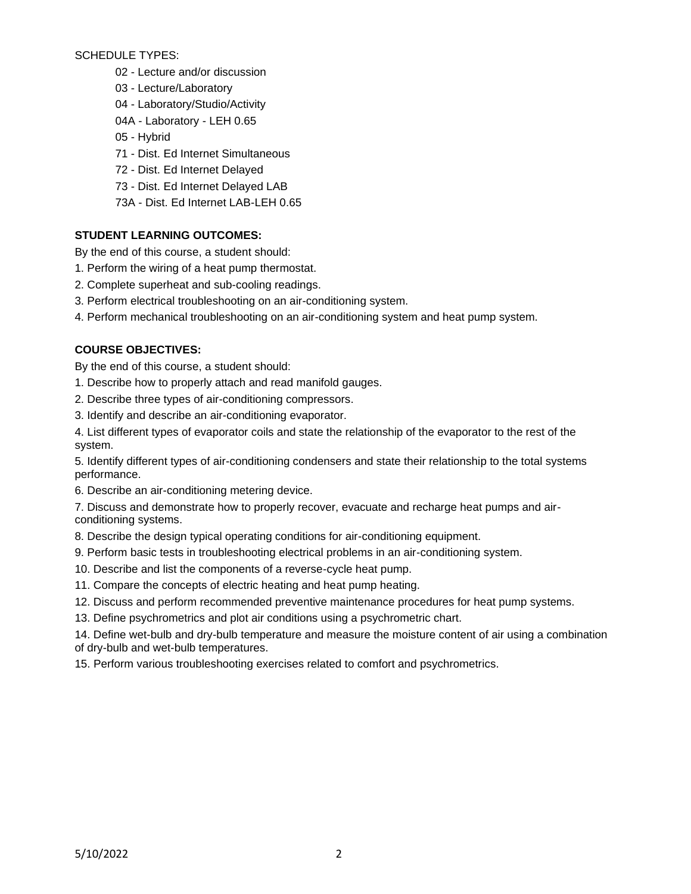SCHEDULE TYPES:

- 02 Lecture and/or discussion
- 03 Lecture/Laboratory
- 04 Laboratory/Studio/Activity
- 04A Laboratory LEH 0.65
- 05 Hybrid
- 71 Dist. Ed Internet Simultaneous
- 72 Dist. Ed Internet Delayed
- 73 Dist. Ed Internet Delayed LAB
- 73A Dist. Ed Internet LAB-LEH 0.65

# **STUDENT LEARNING OUTCOMES:**

By the end of this course, a student should:

- 1. Perform the wiring of a heat pump thermostat.
- 2. Complete superheat and sub-cooling readings.
- 3. Perform electrical troubleshooting on an air-conditioning system.
- 4. Perform mechanical troubleshooting on an air-conditioning system and heat pump system.

# **COURSE OBJECTIVES:**

By the end of this course, a student should:

- 1. Describe how to properly attach and read manifold gauges.
- 2. Describe three types of air-conditioning compressors.
- 3. Identify and describe an air-conditioning evaporator.

4. List different types of evaporator coils and state the relationship of the evaporator to the rest of the system.

5. Identify different types of air-conditioning condensers and state their relationship to the total systems performance.

- 6. Describe an air-conditioning metering device.
- 7. Discuss and demonstrate how to properly recover, evacuate and recharge heat pumps and airconditioning systems.
- 8. Describe the design typical operating conditions for air-conditioning equipment.
- 9. Perform basic tests in troubleshooting electrical problems in an air-conditioning system.
- 10. Describe and list the components of a reverse-cycle heat pump.
- 11. Compare the concepts of electric heating and heat pump heating.
- 12. Discuss and perform recommended preventive maintenance procedures for heat pump systems.
- 13. Define psychrometrics and plot air conditions using a psychrometric chart.

14. Define wet-bulb and dry-bulb temperature and measure the moisture content of air using a combination of dry-bulb and wet-bulb temperatures.

15. Perform various troubleshooting exercises related to comfort and psychrometrics.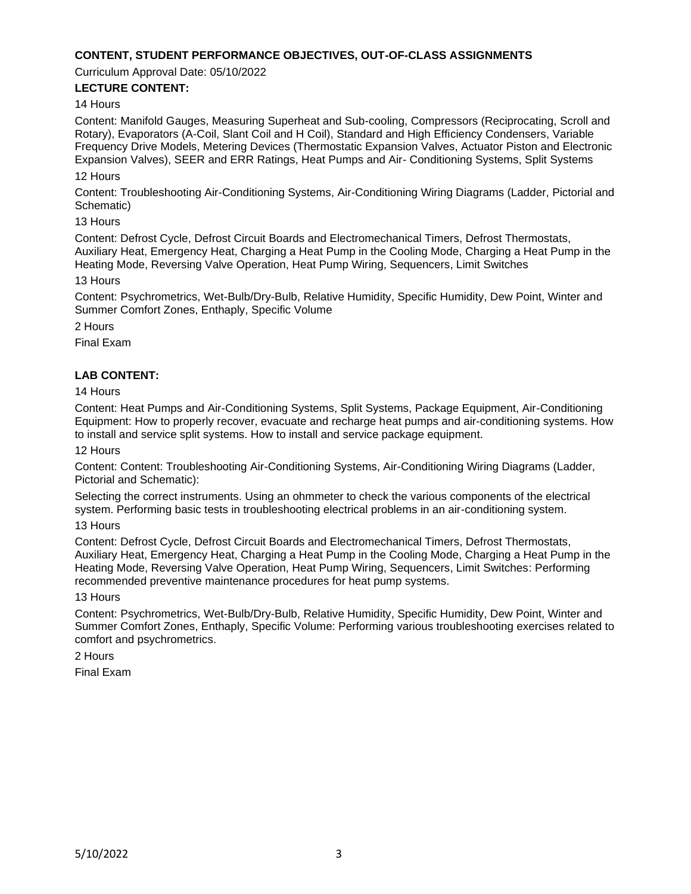## **CONTENT, STUDENT PERFORMANCE OBJECTIVES, OUT-OF-CLASS ASSIGNMENTS**

Curriculum Approval Date: 05/10/2022

### **LECTURE CONTENT:**

#### 14 Hours

Content: Manifold Gauges, Measuring Superheat and Sub-cooling, Compressors (Reciprocating, Scroll and Rotary), Evaporators (A-Coil, Slant Coil and H Coil), Standard and High Efficiency Condensers, Variable Frequency Drive Models, Metering Devices (Thermostatic Expansion Valves, Actuator Piston and Electronic Expansion Valves), SEER and ERR Ratings, Heat Pumps and Air- Conditioning Systems, Split Systems

### 12 Hours

Content: Troubleshooting Air-Conditioning Systems, Air-Conditioning Wiring Diagrams (Ladder, Pictorial and Schematic)

13 Hours

Content: Defrost Cycle, Defrost Circuit Boards and Electromechanical Timers, Defrost Thermostats, Auxiliary Heat, Emergency Heat, Charging a Heat Pump in the Cooling Mode, Charging a Heat Pump in the Heating Mode, Reversing Valve Operation, Heat Pump Wiring, Sequencers, Limit Switches

## 13 Hours

Content: Psychrometrics, Wet-Bulb/Dry-Bulb, Relative Humidity, Specific Humidity, Dew Point, Winter and Summer Comfort Zones, Enthaply, Specific Volume

2 Hours

Final Exam

## **LAB CONTENT:**

14 Hours

Content: Heat Pumps and Air-Conditioning Systems, Split Systems, Package Equipment, Air-Conditioning Equipment: How to properly recover, evacuate and recharge heat pumps and air-conditioning systems. How to install and service split systems. How to install and service package equipment.

12 Hours

Content: Content: Troubleshooting Air-Conditioning Systems, Air-Conditioning Wiring Diagrams (Ladder, Pictorial and Schematic):

Selecting the correct instruments. Using an ohmmeter to check the various components of the electrical system. Performing basic tests in troubleshooting electrical problems in an air-conditioning system.

13 Hours

Content: Defrost Cycle, Defrost Circuit Boards and Electromechanical Timers, Defrost Thermostats, Auxiliary Heat, Emergency Heat, Charging a Heat Pump in the Cooling Mode, Charging a Heat Pump in the Heating Mode, Reversing Valve Operation, Heat Pump Wiring, Sequencers, Limit Switches: Performing recommended preventive maintenance procedures for heat pump systems.

13 Hours

Content: Psychrometrics, Wet-Bulb/Dry-Bulb, Relative Humidity, Specific Humidity, Dew Point, Winter and Summer Comfort Zones, Enthaply, Specific Volume: Performing various troubleshooting exercises related to comfort and psychrometrics.

2 Hours

Final Exam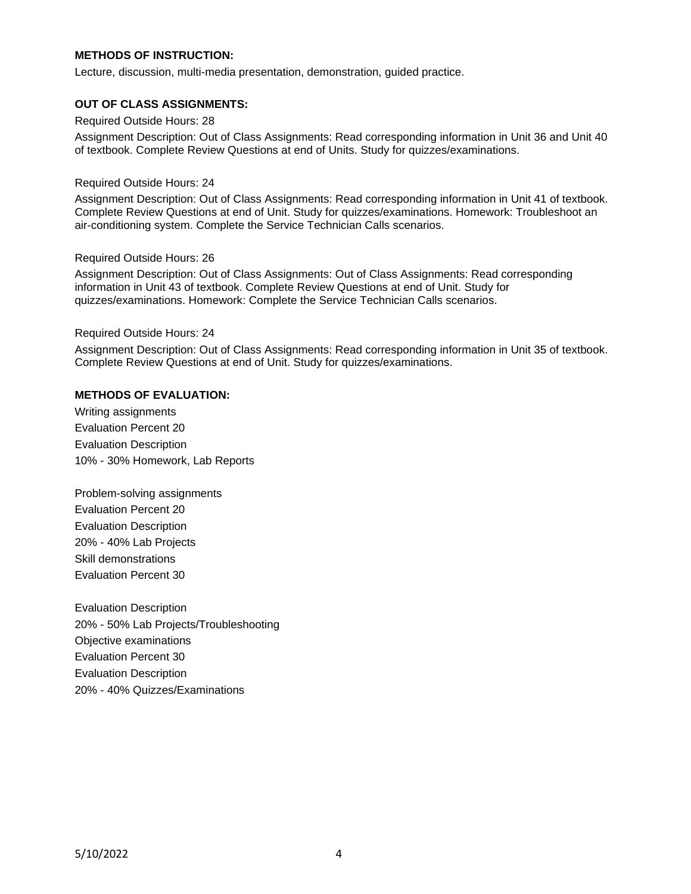## **METHODS OF INSTRUCTION:**

Lecture, discussion, multi-media presentation, demonstration, guided practice.

#### **OUT OF CLASS ASSIGNMENTS:**

Required Outside Hours: 28

Assignment Description: Out of Class Assignments: Read corresponding information in Unit 36 and Unit 40 of textbook. Complete Review Questions at end of Units. Study for quizzes/examinations.

#### Required Outside Hours: 24

Assignment Description: Out of Class Assignments: Read corresponding information in Unit 41 of textbook. Complete Review Questions at end of Unit. Study for quizzes/examinations. Homework: Troubleshoot an air-conditioning system. Complete the Service Technician Calls scenarios.

#### Required Outside Hours: 26

Assignment Description: Out of Class Assignments: Out of Class Assignments: Read corresponding information in Unit 43 of textbook. Complete Review Questions at end of Unit. Study for quizzes/examinations. Homework: Complete the Service Technician Calls scenarios.

#### Required Outside Hours: 24

Assignment Description: Out of Class Assignments: Read corresponding information in Unit 35 of textbook. Complete Review Questions at end of Unit. Study for quizzes/examinations.

#### **METHODS OF EVALUATION:**

Writing assignments Evaluation Percent 20 Evaluation Description 10% - 30% Homework, Lab Reports

Problem-solving assignments Evaluation Percent 20 Evaluation Description 20% - 40% Lab Projects Skill demonstrations Evaluation Percent 30

Evaluation Description 20% - 50% Lab Projects/Troubleshooting Objective examinations Evaluation Percent 30 Evaluation Description 20% - 40% Quizzes/Examinations